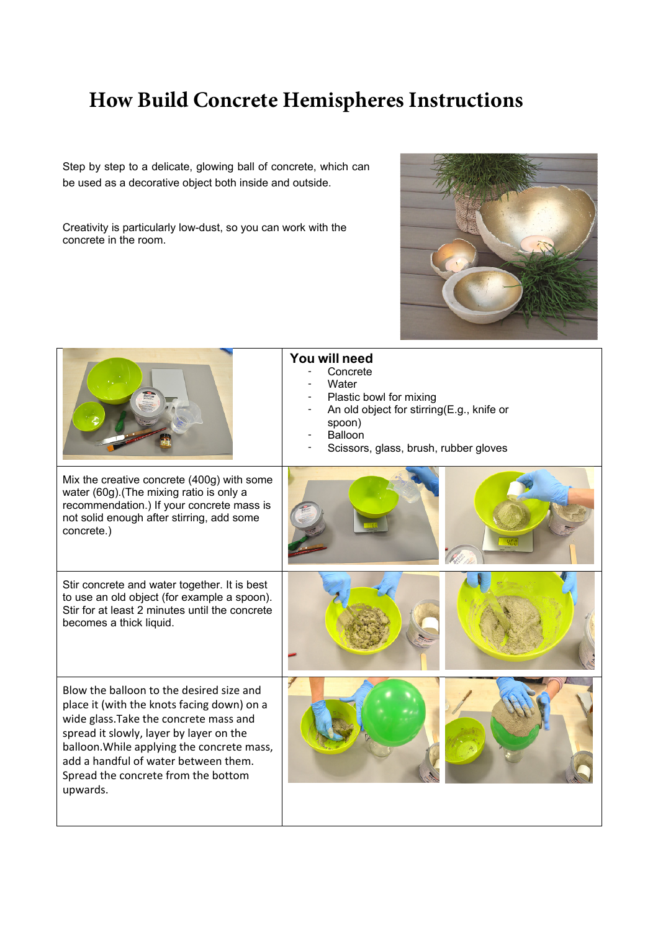## **How Build Concrete Hemispheres Instructions**

Step by step to a delicate, glowing ball of concrete, which can be used as a decorative object both inside and outside.

Creativity is particularly low-dust, so you can work with the concrete in the room.



|                                                                                                                                                                                                                                                                                                                      | You will need<br>Concrete<br>Water<br>Plastic bowl for mixing<br>An old object for stirring(E.g., knife or<br>spoon)<br>Balloon<br>Scissors, glass, brush, rubber gloves |
|----------------------------------------------------------------------------------------------------------------------------------------------------------------------------------------------------------------------------------------------------------------------------------------------------------------------|--------------------------------------------------------------------------------------------------------------------------------------------------------------------------|
| Mix the creative concrete (400g) with some<br>water (60g). (The mixing ratio is only a<br>recommendation.) If your concrete mass is<br>not solid enough after stirring, add some<br>concrete.)                                                                                                                       |                                                                                                                                                                          |
| Stir concrete and water together. It is best<br>to use an old object (for example a spoon).<br>Stir for at least 2 minutes until the concrete<br>becomes a thick liquid.                                                                                                                                             |                                                                                                                                                                          |
| Blow the balloon to the desired size and<br>place it (with the knots facing down) on a<br>wide glass. Take the concrete mass and<br>spread it slowly, layer by layer on the<br>balloon. While applying the concrete mass,<br>add a handful of water between them.<br>Spread the concrete from the bottom<br>upwards. |                                                                                                                                                                          |